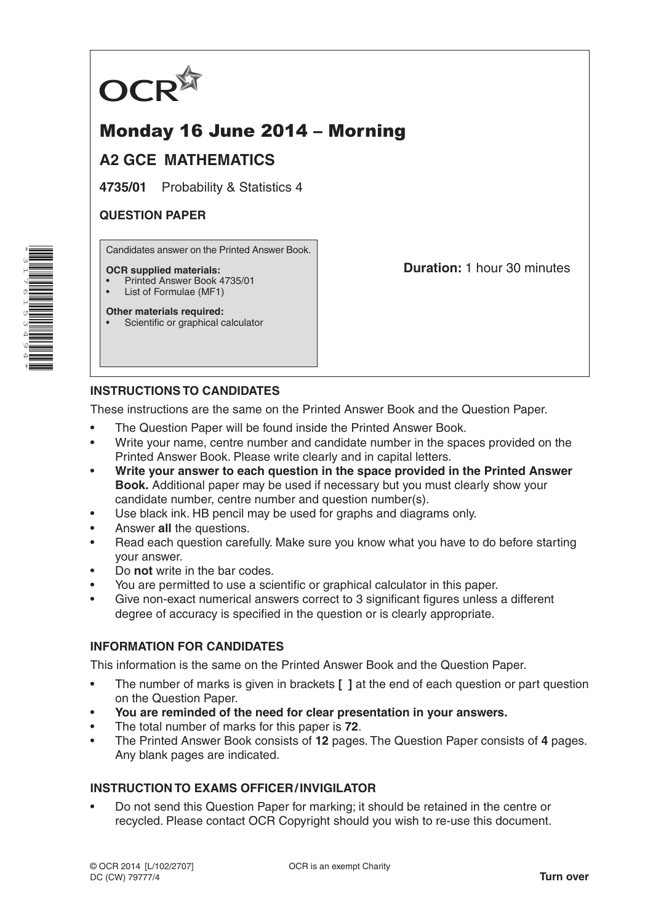

# Monday 16 June 2014 – Morning

# **A2 GCE MATHEMATICS**

**4735/01** Probability & Statistics 4

# **QUESTION PAPER**

Candidates answer on the Printed Answer Book.

#### **OCR supplied materials:**

- Printed Answer Book 4735/01
- List of Formulae (MF1)

**Other materials required:** Scientific or graphical calculator **Duration:** 1 hour 30 minutes

# **INSTRUCTIONS TO CANDIDATES**

These instructions are the same on the Printed Answer Book and the Question Paper.

- The Question Paper will be found inside the Printed Answer Book.
- Write your name, centre number and candidate number in the spaces provided on the Printed Answer Book. Please write clearly and in capital letters.
- **Write your answer to each question in the space provided in the Printed Answer Book.** Additional paper may be used if necessary but you must clearly show your candidate number, centre number and question number(s).
- Use black ink. HB pencil may be used for graphs and diagrams only.
- Answer **all** the questions.
- Read each question carefully. Make sure you know what you have to do before starting your answer.
- Do **not** write in the bar codes.
- You are permitted to use a scientific or graphical calculator in this paper.
- Give non-exact numerical answers correct to 3 significant figures unless a different degree of accuracy is specified in the question or is clearly appropriate.

## **INFORMATION FOR CANDIDATES**

This information is the same on the Printed Answer Book and the Question Paper.

- The number of marks is given in brackets **[ ]** at the end of each question or part question on the Question Paper.
- **You are reminded of the need for clear presentation in your answers.**
- The total number of marks for this paper is **72**.
- The Printed Answer Book consists of **12** pages. The Question Paper consists of **4** pages. Any blank pages are indicated.

## **INSTRUCTION TO EXAMS OFFICER/INVIGILATOR**

• Do not send this Question Paper for marking; it should be retained in the centre or recycled. Please contact OCR Copyright should you wish to re-use this document.

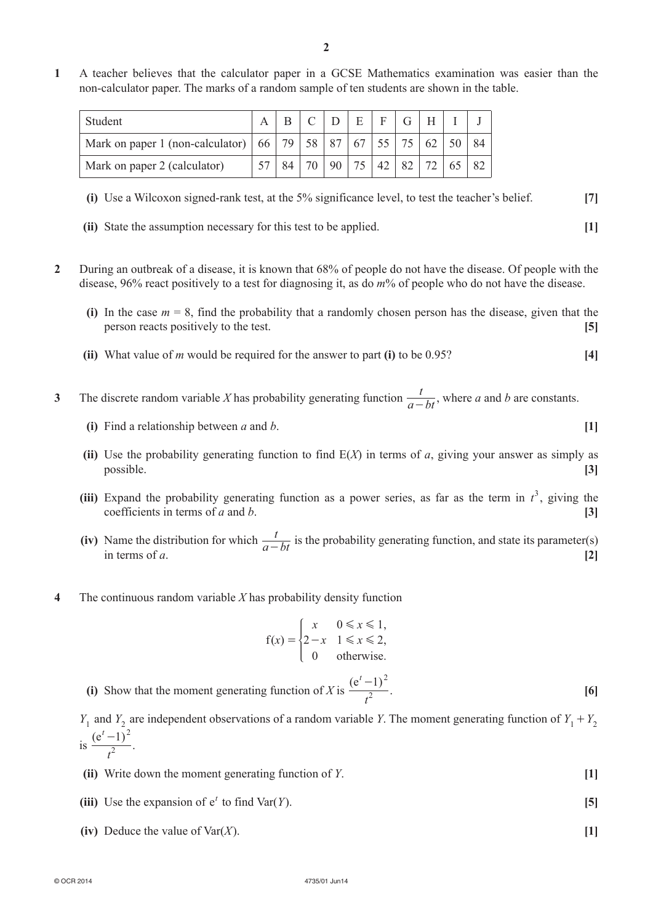**1**  A teacher believes that the calculator paper in a GCSE Mathematics examination was easier than the non-calculator paper. The marks of a random sample of ten students are shown in the table.

| Student                                                                  |  |    |                 | E | $F \mid$ | $G$ $H$           |    |  |
|--------------------------------------------------------------------------|--|----|-----------------|---|----------|-------------------|----|--|
| Mark on paper 1 (non-calculator)   66   79   58   87   67   55   75   62 |  |    |                 |   |          |                   | 50 |  |
| Mark on paper 2 (calculator)                                             |  | 70 | 90 <sup>1</sup> |   |          | 75   42   82   72 | 65 |  |

 **(i)**  Use a Wilcoxon signed-rank test, at the 5% significance level, to test the teacher's belief. **[7]**

- **(ii)** State the assumption necessary for this test to be applied. **[1]**
- **2**  During an outbreak of a disease, it is known that 68% of people do not have the disease. Of people with the disease, 96% react positively to a test for diagnosing it, as do *m*% of people who do not have the disease.
	- **(i)** In the case  $m = 8$ , find the probability that a randomly chosen person has the disease, given that the person reacts positively to the test. **[5]**
	- **(ii)** What value of *m* would be required for the answer to part **(i)** to be 0.95? [4]

**3** The discrete random variable *X* has probability generating function  $\frac{t}{a - bt}$ , where *a* and *b* are constants.

- **(i)** Find a relationship between *a* and *b*.  $[1]$
- **(ii)** Use the probability generating function to find  $E(X)$  in terms of *a*, giving your answer as simply as possible. **[3]**
- (iii) Expand the probability generating function as a power series, as far as the term in  $t^3$ , giving the coefficients in terms of *a* and *b*. **[3]**
- **(iv)** Name the distribution for which  $\frac{t}{a bt}$  is the probability generating function, and state its parameter(s) in terms of *a*. [2]
- **4**  The continuous random variable *X* has probability density function

$$
f(x) = \begin{cases} x & 0 \le x \le 1, \\ 2 - x & 1 \le x \le 2, \\ 0 & \text{otherwise.} \end{cases}
$$

**(i)** Show that the moment generating function of *X* is  $\frac{e^{t}-1}{2}$ *t*  $(t-1)$  $\frac{(-1)^2}{t^2}$ . [6]

 $Y_1$  and  $Y_2$  are independent observations of a random variable *Y*. The moment generating function of  $Y_1 + Y_2$ is  $\frac{(e^t-1)}{2}$ *t*  $(t-1)$  $\frac{-1)^2}{t^2}$ .

- *(ii)* Write down the moment generating function of *Y*. **[1]**
- **(iii)** Use the expansion of  $e^t$  to find Var(*Y*). **[5]** 
	- (iv) Deduce the value of  $\text{Var}(X)$ . [1]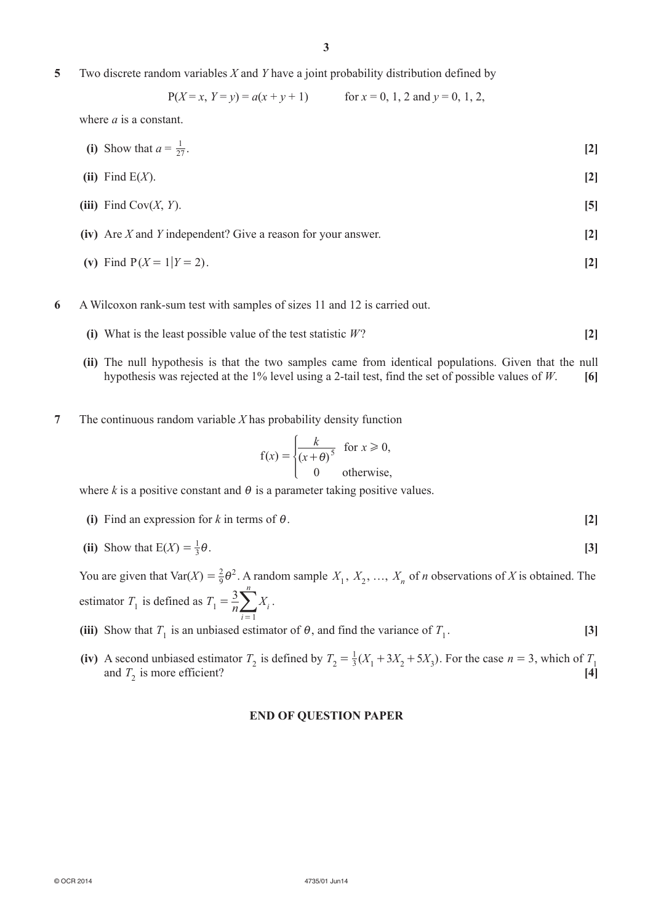**5**  Two discrete random variables *X* and *Y* have a joint probability distribution defined by

$$
P(X = x, Y = y) = a(x + y + 1)
$$
 for  $x = 0, 1, 2$  and  $y = 0, 1, 2$ ,

where *a* is a constant.

(i) Show that 
$$
a = \frac{1}{27}
$$
. [2]

$$
(ii) Find E(X).
$$
 [2]

- *<b>(iii)* Find Cov(*X*, *Y*). **[5]**
- **(iv)** Are *X* and *Y* independent? Give a reason for your answer. **[2]**
- (v) Find  $P(X = 1 | Y = 2)$ . [2]
- **6**  A Wilcoxon rank-sum test with samples of sizes 11 and 12 is carried out.
	- **(i)** What is the least possible value of the test statistic  $W$ ? [2]
	- **(ii)** The null hypothesis is that the two samples came from identical populations. Given that the null hypothesis was rejected at the 1% level using a 2-tail test, find the set of possible values of *W*. **[6]**
- **7**  The continuous random variable *X* has probability density function

$$
f(x) = \begin{cases} \frac{k}{(x+\theta)^5} & \text{for } x \ge 0, \\ 0 & \text{otherwise,} \end{cases}
$$

where  $k$  is a positive constant and  $\theta$  is a parameter taking positive values.

**(i)** Find an expression for *k* in terms of  $\theta$ . [2]

(ii) Show that 
$$
E(X) = \frac{1}{3}\theta
$$
. [3]

You are given that Var(*X*) =  $\frac{2}{9}\theta^2$ . A random sample  $X_1, X_2, ..., X_n$  of *n* observations of *X* is obtained. The estimator  $T_1$  is defined as  $T_1 = \frac{3}{n} \sum_{i=1}^{n} X_i$ *i n* 1 1 =  $\sum_{i=1}^n X_i$ .

(iii) Show that *T*<sub>1</sub> is an unbiased estimator of *θ*, and find the variance of *T*<sub>1</sub>. [3]

(iv) A second unbiased estimator  $T_2$  is defined by  $T_2 = \frac{1}{3}(X_1 + 3X_2 + 5X_3)$ . For the case  $n = 3$ , which of  $T_1$ and  $T_2$  is more efficient? **[4]** 

### **END OF QUESTION PAPER**